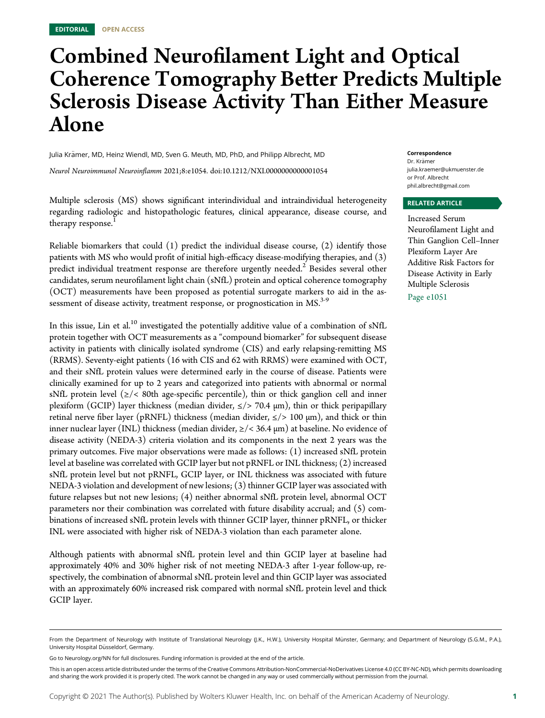# Combined Neurofilament Light and Optical Coherence Tomography Better Predicts Multiple Sclerosis Disease Activity Than Either Measure Alone

Julia Krämer, MD, Heinz Wiendl, MD, Sven G. Meuth, MD, PhD, and Philipp Albrecht, MD

Neurol Neuroimmunol Neuroinflamm 2021;8:e1054. doi[:10.1212/NXI.0000000000001054](http://dx.doi.org/10.1212/NXI.0000000000001054)

Multiple sclerosis (MS) shows significant interindividual and intraindividual heterogeneity regarding radiologic and histopathologic features, clinical appearance, disease course, and therapy response.

Reliable biomarkers that could  $(1)$  predict the individual disease course,  $(2)$  identify those patients with MS who would profit of initial high-efficacy disease-modifying therapies, and (3) predict individual treatment response are therefore urgently needed.<sup>2</sup> Besides several other candidates, serum neurofilament light chain (sNfL) protein and optical coherence tomography (OCT) measurements have been proposed as potential surrogate markers to aid in the assessment of disease activity, treatment response, or prognostication in MS.<sup>3-9</sup>

In this issue, Lin et al.<sup>10</sup> investigated the potentially additive value of a combination of sNfL protein together with OCT measurements as a "compound biomarker" for subsequent disease activity in patients with clinically isolated syndrome (CIS) and early relapsing-remitting MS (RRMS). Seventy-eight patients (16 with CIS and 62 with RRMS) were examined with OCT, and their sNfL protein values were determined early in the course of disease. Patients were clinically examined for up to 2 years and categorized into patients with abnormal or normal sNfL protein level ( $\ge$ /< 80th age-specific percentile), thin or thick ganglion cell and inner plexiform (GCIP) layer thickness (median divider,  $\le$ /> 70.4  $\mu$ m), thin or thick peripapillary retinal nerve fiber layer (pRNFL) thickness (median divider,  $\le$ /> 100  $\mu$ m), and thick or thin inner nuclear layer (INL) thickness (median divider,  $\ge$ /< 36.4  $\mu$ m) at baseline. No evidence of disease activity (NEDA-3) criteria violation and its components in the next 2 years was the primary outcomes. Five major observations were made as follows: (1) increased sNfL protein level at baseline was correlated with GCIP layer but not pRNFL or INL thickness; (2) increased sNfL protein level but not pRNFL, GCIP layer, or INL thickness was associated with future NEDA-3 violation and development of new lesions; (3) thinner GCIP layer was associated with future relapses but not new lesions; (4) neither abnormal sNfL protein level, abnormal OCT parameters nor their combination was correlated with future disability accrual; and (5) combinations of increased sNfL protein levels with thinner GCIP layer, thinner pRNFL, or thicker INL were associated with higher risk of NEDA-3 violation than each parameter alone.

Although patients with abnormal sNfL protein level and thin GCIP layer at baseline had approximately 40% and 30% higher risk of not meeting NEDA-3 after 1-year follow-up, respectively, the combination of abnormal sNfL protein level and thin GCIP layer was associated with an approximately 60% increased risk compared with normal sNfL protein level and thick GCIP layer.

### Correspondence

Dr. Krämer [julia.kraemer@ukmuenster.de](mailto:julia.kraemer@ukmuenster.de) or Prof. Albrecht [phil.albrecht@gmail.com](mailto:phil.albrecht@gmail.com)

### RELATED ARTICLE

Increased Serum Neurofilament Light and Thin Ganglion Cell–Inner Plexiform Layer Are Additive Risk Factors for Disease Activity in Early Multiple Sclerosis Page e1051

From the Department of Neurology with Institute of Translational Neurology (J.K., H.W.), University Hospital Münster, Germany; and Department of Neurology (S.G.M., P.A.), University Hospital Düsseldorf, Germany.

Go to [Neurology.org/NN](https://nn.neurology.org/content/8/5/e054/tab-article-info) for full disclosures. Funding information is provided at the end of the article.

This is an open access article distributed under the terms of the [Creative Commons Attribution-NonCommercial-NoDerivatives License 4.0 \(CC BY-NC-ND\),](http://creativecommons.org/licenses/by-nc-nd/4.0/) which permits downloading and sharing the work provided it is properly cited. The work cannot be changed in any way or used commercially without permission from the journal.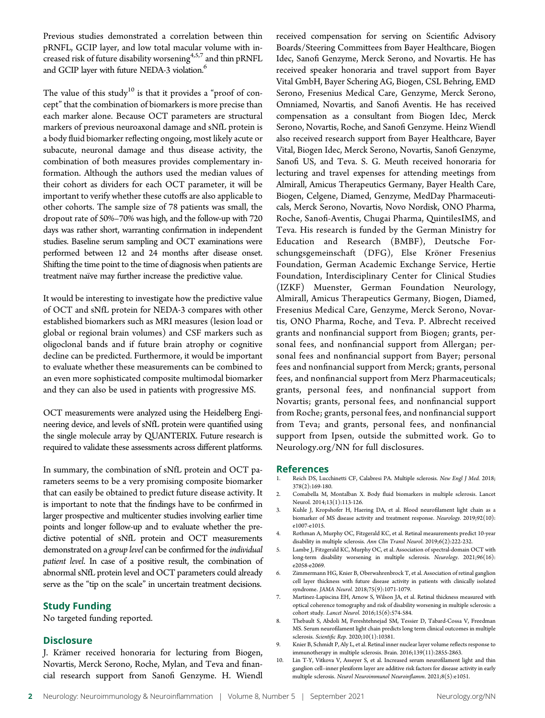Previous studies demonstrated a correlation between thin pRNFL, GCIP layer, and low total macular volume with increased risk of future disability worsening $4,5,7$  and thin pRNFL and GCIP layer with future NEDA-3 violation.<sup>6</sup>

The value of this study<sup>10</sup> is that it provides a "proof of concept" that the combination of biomarkers is more precise than each marker alone. Because OCT parameters are structural markers of previous neuroaxonal damage and sNfL protein is a body fluid biomarker reflecting ongoing, most likely acute or subacute, neuronal damage and thus disease activity, the combination of both measures provides complementary information. Although the authors used the median values of their cohort as dividers for each OCT parameter, it will be important to verify whether these cutoffs are also applicable to other cohorts. The sample size of 78 patients was small, the dropout rate of 50%–70% was high, and the follow-up with 720 days was rather short, warranting confirmation in independent studies. Baseline serum sampling and OCT examinations were performed between 12 and 24 months after disease onset. Shifting the time point to the time of diagnosis when patients are treatment naïve may further increase the predictive value.

It would be interesting to investigate how the predictive value of OCT and sNfL protein for NEDA-3 compares with other established biomarkers such as MRI measures (lesion load or global or regional brain volumes) and CSF markers such as oligoclonal bands and if future brain atrophy or cognitive decline can be predicted. Furthermore, it would be important to evaluate whether these measurements can be combined to an even more sophisticated composite multimodal biomarker and they can also be used in patients with progressive MS.

OCT measurements were analyzed using the Heidelberg Engineering device, and levels of sNfL protein were quantified using the single molecule array by QUANTERIX. Future research is required to validate these assessments across different platforms.

In summary, the combination of sNfL protein and OCT parameters seems to be a very promising composite biomarker that can easily be obtained to predict future disease activity. It is important to note that the findings have to be confirmed in larger prospective and multicenter studies involving earlier time points and longer follow-up and to evaluate whether the predictive potential of sNfL protein and OCT measurements demonstrated on a group level can be confirmed for the *individual* patient level. In case of a positive result, the combination of abnormal sNfL protein level and OCT parameters could already serve as the "tip on the scale" in uncertain treatment decisions.

### Study Funding

No targeted funding reported.

### **Disclosure**

J. Krämer received honoraria for lecturing from Biogen, Novartis, Merck Serono, Roche, Mylan, and Teva and financial research support from Sanofi Genzyme. H. Wiendl received compensation for serving on Scientific Advisory Boards/Steering Committees from Bayer Healthcare, Biogen Idec, Sanofi Genzyme, Merck Serono, and Novartis. He has received speaker honoraria and travel support from Bayer Vital GmbH, Bayer Schering AG, Biogen, CSL Behring, EMD Serono, Fresenius Medical Care, Genzyme, Merck Serono, Omniamed, Novartis, and Sanofi Aventis. He has received compensation as a consultant from Biogen Idec, Merck Serono, Novartis, Roche, and Sanofi Genzyme. Heinz Wiendl also received research support from Bayer Healthcare, Bayer Vital, Biogen Idec, Merck Serono, Novartis, Sanofi Genzyme, Sanofi US, and Teva. S. G. Meuth received honoraria for lecturing and travel expenses for attending meetings from Almirall, Amicus Therapeutics Germany, Bayer Health Care, Biogen, Celgene, Diamed, Genzyme, MedDay Pharmaceuticals, Merck Serono, Novartis, Novo Nordisk, ONO Pharma, Roche, Sanofi-Aventis, Chugai Pharma, QuintilesIMS, and Teva. His research is funded by the German Ministry for Education and Research (BMBF), Deutsche Forschungsgemeinschaft (DFG), Else Kröner Fresenius Foundation, German Academic Exchange Service, Hertie Foundation, Interdisciplinary Center for Clinical Studies (IZKF) Muenster, German Foundation Neurology, Almirall, Amicus Therapeutics Germany, Biogen, Diamed, Fresenius Medical Care, Genzyme, Merck Serono, Novartis, ONO Pharma, Roche, and Teva. P. Albrecht received grants and nonfinancial support from Biogen; grants, personal fees, and nonfinancial support from Allergan; personal fees and nonfinancial support from Bayer; personal fees and nonfinancial support from Merck; grants, personal fees, and nonfinancial support from Merz Pharmaceuticals; grants, personal fees, and nonfinancial support from Novartis; grants, personal fees, and nonfinancial support from Roche; grants, personal fees, and nonfinancial support from Teva; and grants, personal fees, and nonfinancial support from Ipsen, outside the submitted work. Go to [Neurology.org/NN](https://nn.neurology.org/content/8/5/e054/tab-article-info) for full disclosures.

### References

- 1. Reich DS, Lucchinetti CF, Calabresi PA. Multiple sclerosis. New Engl J Med. 2018; 378(2):169-180.
- 2. Comabella M, Montalban X. Body fluid biomarkers in multiple sclerosis. Lancet Neurol. 2014;13(1):113-126.
- 3. Kuhle J, Kropshofer H, Haering DA, et al. Blood neurofilament light chain as a biomarker of MS disease activity and treatment response. Neurology. 2019;92(10): e1007-e1015.
- 4. Rothman A, Murphy OC, Fitzgerald KC, et al. Retinal measurements predict 10-year disability in multiple sclerosis. Ann Clin Transl Neurol. 2019;6(2):222-232.
- 5. Lambe J, Fitzgerald KC, Murphy OC, et al. Association of spectral-domain OCT with long-term disability worsening in multiple sclerosis. Neurology. 2021;96(16): e2058-e2069.
- 6. Zimmermann HG, Knier B, Oberwahrenbrock T, et al. Association of retinal ganglion cell layer thickness with future disease activity in patients with clinically isolated syndrome. JAMA Neurol. 2018;75(9):1071-1079.
- 7. Martinez-Lapiscina EH, Arnow S, Wilson JA, et al. Retinal thickness measured with optical coherence tomography and risk of disability worsening in multiple sclerosis: a cohort study. Lancet Neurol. 2016;15(6):574-584.
- 8. Thebault S, Abdoli M, Fereshtehnejad SM, Tessier D, Tabard-Cossa V, Freedman MS. Serum neurofilament light chain predicts long term clinical outcomes in multiple sclerosis. Scientific Rep. 2020;10(1):10381.
- 9. Knier B, Schmidt P, Aly L, et al. Retinal inner nuclear layer volume reflects response to immunotherapy in multiple sclerosis. Brain. 2016;139(11):2855-2863.
- 10. Lin T-Y, Vitkova V, Asseyer S, et al. Increased serum neurofilament light and thin ganglion cell–inner plexiform layer are additive risk factors for disease activity in early multiple sclerosis. Neurol Neuroimmunol Neuroinflamm. 2021;8(5):e1051.